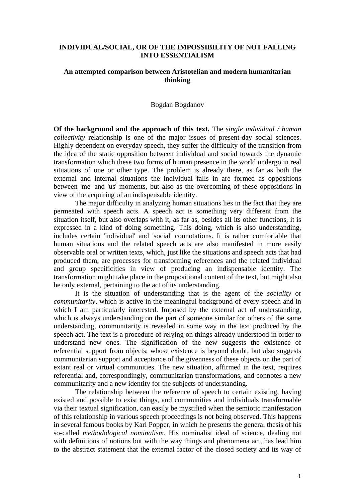## **INDIVIDUAL/SOCIAL, OR OF THE IMPOSSIBILITY OF NOT FALLING INTO ESSENTIALISM**

## **An attempted comparison between Aristotelian and modern humanitarian thinking**

## Bogdan Bogdanov

**Of the background and the approach of this text.** The *single individual / human collectivity* relationship is one of the major issues of present-day social sciences. Highly dependent on everyday speech, they suffer the difficulty of the transition from the idea of the static opposition between individual and social towards the dynamic transformation which these two forms of human presence in the world undergo in real situations of one or other type. The problem is already there, as far as both the external and internal situations the individual falls in are formed as oppositions between 'me' and 'us' moments, but also as the overcoming of these oppositions in view of the acquiring of an indispensable identity.

 The major difficulty in analyzing human situations lies in the fact that they are permeated with speech acts. A speech act is something very different from the situation itself, but also overlaps with it, as far as, besides all its other functions, it is expressed in a kind of doing something. This doing, which is also understanding, includes certain 'individual' and 'social' connotations. It is rather comfortable that human situations and the related speech acts are also manifested in more easily observable oral or written texts, which, just like the situations and speech acts that had produced them, are processes for transforming references and the related individual and group specificities in view of producing an indispensable identity. The transformation might take place in the propositional content of the text, but might also be only external, pertaining to the act of its understanding.

 It is the situation of understanding that is the agent of the *sociality* or *communitarity*, which is active in the meaningful background of every speech and in which I am particularly interested. Imposed by the external act of understanding, which is always understanding on the part of someone similar for others of the same understanding, communitarity is revealed in some way in the text produced by the speech act. The text is a procedure of relying on things already understood in order to understand new ones. The signification of the new suggests the existence of referential support from objects, whose existence is beyond doubt, but also suggests communitarian support and acceptance of the givenness of these objects on the part of extant real or virtual communities. The new situation, affirmed in the text, requires referential and, correspondingly, communitarian transformations, and connotes a new communitarity and a new identity for the subjects of understanding.

 The relationship between the reference of speech to certain existing, having existed and possible to exist things, and communities and individuals transformable via their textual signification, can easily be mystified when the semiotic manifestation of this relationship in various speech proceedings is not being observed. This happens in several famous books by Karl Popper, in which he presents the general thesis of his so-called *methodological nominalism*. His nominalist ideal of science, dealing not with definitions of notions but with the way things and phenomena act, has lead him to the abstract statement that the external factor of the closed society and its way of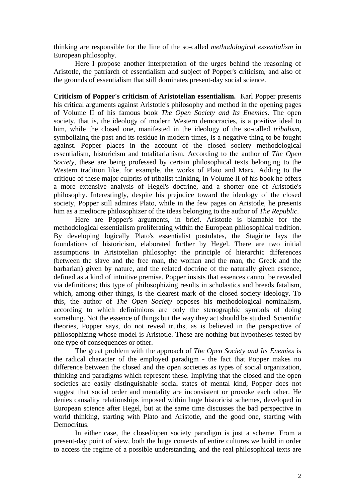thinking are responsible for the line of the so-called *methodological essentialism* in European philosophy.

 Here I propose another interpretation of the urges behind the reasoning of Aristotle, the patriarch of essentialism and subject of Popper's criticism, and also of the grounds of essentialism that still dominates present-day social science.

**Criticism of Popper's criticism of Aristotelian essentialism.** Karl Popper presents his critical arguments against Aristotle's philosophy and method in the opening pages of Volume II of his famous book *The Open Society and Its Enemies*. The open society, that is, the ideology of modern Western democracies, is a positive ideal to him, while the closed one, manifested in the ideology of the so-called *tribalism*, symbolizing the past and its residue in modern times, is a negative thing to be fought against. Popper places in the account of the closed society methodological essentialism, historicism and totalitarianism. According to the author of *The Open Society*, these are being professed by certain philosophical texts belonging to the Western tradition like, for example, the works of Plato and Marx. Adding to the critique of these major culprits of tribalist thinking, in Volume II of his book he offers a more extensive analysis of Hegel's doctrine, and a shorter one of Aristotle's philosophy. Interestingly, despite his prejudice toward the ideology of the closed society, Popper still admires Plato, while in the few pages on Aristotle, he presents him as a mediocre philosophizer of the ideas belonging to the author of *The Republic*.

 Here are Popper's arguments, in brief. Aristotle is blamable for the methodological essentialism proliferating within the European philosophical tradition. By developing logically Plato's essentialist postulates, the Stagirite lays the foundations of historicism, elaborated further by Hegel. There are two initial assumptions in Aristotelian philosophy: the principle of hierarchic differences (between the slave and the free man, the woman and the man, the Greek and the barbarian) given by nature, and the related doctrine of the naturally given essence, defined as a kind of intuitive premise. Popper insists that essences cannot be revealed via definitions; this type of philosophizing results in scholastics and breeds fatalism, which, among other things, is the clearest mark of the closed society ideology. To this, the author of *The Open Society* opposes his methodological nominalism, according to which definitnions are only the stenographic symbols of doing something. Not the essence of things but the way they act should be studied. Scientific theories, Popper says, do not reveal truths, as is believed in the perspective of philosophizing whose model is Aristotle. These are nothing but hypotheses tested by one type of consequences or other.

 The great problem with the approach of *The Open Society and Its Enemies* is the radical character of the employed paradigm - the fact that Popper makes no difference between the closed and the open societies as types of social organization, thinking and paradigms which represent these. Implying that the closed and the open societies are easily distinguishable social states of mental kind, Popper does not suggest that social order and mentality are inconsistent or provoke each other. He denies causality relationships imposed within huge historicist schemes, developed in European science after Hegel, but at the same time discusses the bad perspective in world thinking, starting with Plato and Aristotle, and the good one, starting with Democritus.

 In either case, the closed/open society paradigm is just a scheme. From a present-day point of view, both the huge contexts of entire cultures we build in order to access the regime of a possible understanding, and the real philosophical texts are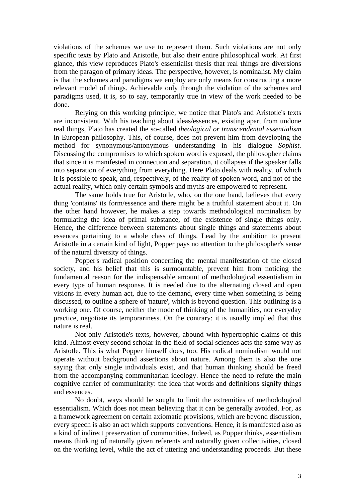violations of the schemes we use to represent them. Such violations are not only specific texts by Plato and Aristotle, but also their entire philosophical work. At first glance, this view reproduces Plato's essentialist thesis that real things are diversions from the paragon of primary ideas. The perspective, however, is nominalist. My claim is that the schemes and paradigms we employ are only means for constructing a more relevant model of things. Achievable only through the violation of the schemes and paradigms used, it is, so to say, temporarily true in view of the work needed to be done.

 Relying on this working principle, we notice that Plato's and Aristotle's texts are inconsistent. With his teaching about ideas/essences, existing apart from undone real things, Plato has created the so-called *theological or transcendental essentialism* in European philosophy. This, of course, does not prevent him from developing the method for synonymous/antonymous understanding in his dialogue *Sophist*. Discussing the compromises to which spoken word is exposed, the philosopher claims that since it is manifested in connection and separation, it collapses if the speaker falls into separation of everything from everything. Here Plato deals with reality, of which it is possible to speak, and, respectively, of the reality of spoken word, and not of the actual reality, which only certain symbols and myths are empowered to represent.

 The same holds true for Aristotle, who, on the one hand, believes that every thing 'contains' its form/essence and there might be a truthful statement about it. On the other hand however, he makes a step towards methodological nominalism by formulating the idea of primal substance, of the existence of single things only. Hence, the difference between statements about single things and statements about essences pertaining to a whole class of things. Lead by the ambition to present Aristotle in a certain kind of light, Popper pays no attention to the philosopher's sense of the natural diversity of things.

 Popper's radical position concerning the mental manifestation of the closed society, and his belief that this is surmountable, prevent him from noticing the fundamental reason for the indispensable amount of methodological essentialism in every type of human response. It is needed due to the alternating closed and open visions in every human act, due to the demand, every time when something is being discussed, to outline a sphere of 'nature', which is beyond question. This outlining is a working one. Of course, neither the mode of thinking of the humanities, nor everyday practice, negotiate its temporariness. On the contrary: it is usually implied that this nature is real.

 Not only Aristotle's texts, however, abound with hypertrophic claims of this kind. Almost every second scholar in the field of social sciences acts the same way as Aristotle. This is what Popper himself does, too. His radical nominalism would not operate without background assertions about nature. Among them is also the one saying that only single individuals exist, and that human thinking should be freed from the accompanying communitarian ideology. Hence the need to refute the main cognitive carrier of communitarity: the idea that words and definitions signify things and essences.

 No doubt, ways should be sought to limit the extremities of methodological essentialism. Which does not mean believing that it can be generally avoided. For, as a framework agreement on certain axiomatic provisions, which are beyond discussion, every speech is also an act which supports conventions. Hence, it is manifested also as a kind of indirect preservation of communities. Indeed, as Popper thinks, essentialism means thinking of naturally given referents and naturally given collectivities, closed on the working level, while the act of uttering and understanding proceeds. But these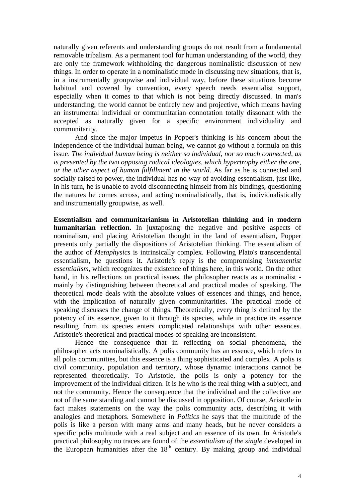naturally given referents and understanding groups do not result from a fundamental removable tribalism. As a permanent tool for human understanding of the world, they are only the framework withholding the dangerous nominalistic discussion of new things. In order to operate in a nominalistic mode in discussing new situations, that is, in a instrumentally groupwise and individual way, before these situations become habitual and covered by convention, every speech needs essentialist support, especially when it comes to that which is not being directly discussed. In man's understanding, the world cannot be entirely new and projective, which means having an instrumental individual or communitarian connotation totally dissonant with the accepted as naturally given for a specific environment individuality and communitarity.

 And since the major impetus in Popper's thinking is his concern about the independence of the individual human being, we cannot go without a formula on this issue. *The individual human being is neither so individual, nor so much connected, as is presented by the two opposing radical ideologies, which hypertrophy either the one, or the other aspect of human fulfillment in the world*. As far as he is connected and socially raised to power, the individual has no way of avoiding essentialism, just like, in his turn, he is unable to avoid disconnecting himself from his bindings, questioning the natures he comes across, and acting nominalistically, that is, individualistically and instrumentally groupwise, as well.

**Essentialism and communitarianism in Aristotelian thinking and in modern humanitarian reflection.** In juxtaposing the negative and positive aspects of nominalism, and placing Aristotelian thought in the land of essentialism, Popper presents only partially the dispositions of Aristotelian thinking. The essentialism of the author of *Metaphysics* is intrinsically complex. Following Plato's transcendental essentialism, he questions it. Aristotle's reply is the compromising *immanentist essentialism*, which recognizes the existence of things here, in this world. On the other hand, in his reflections on practical issues, the philosopher reacts as a nominalist mainly by distinguishing between theoretical and practical modes of speaking. The theoretical mode deals with the absolute values of essences and things, and hence, with the implication of naturally given communitarities. The practical mode of speaking discusses the change of things. Theoretically, every thing is defined by the potency of its essence, given to it through its species, while in practice its essence resulting from its species enters complicated relationships with other essences. Aristotle's theoretical and practical modes of speaking are inconsistent.

 Hence the consequence that in reflecting on social phenomena, the philosopher acts nominalistically. A polis community has an essence, which refers to all polis communities, but this essence is a thing sophisticated and complex. A polis is civil community, population and territory, whose dynamic interactions cannot be represented theoretically. To Aristotle, the polis is only a potency for the improvement of the individual citizen. It is he who is the real thing with a subject, and not the community. Hence the consequence that the individual and the collective are not of the same standing and cannot be discussed in opposition. Of course, Aristotle in fact makes statements on the way the polis community acts, describing it with analogies and metaphors. Somewhere in *Politics* he says that the multitude of the polis is like a person with many arms and many heads, but he never considers a specific polis multitude with a real subject and an essence of its own. In Aristotle's practical philosophy no traces are found of the *essentialism of the single* developed in the European humanities after the  $18<sup>th</sup>$  century. By making group and individual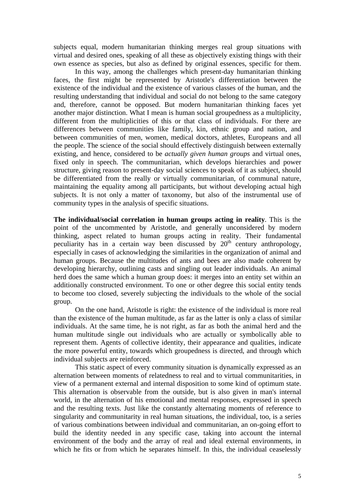subjects equal, modern humanitarian thinking merges real group situations with virtual and desired ones, speaking of all these as objectively existing things with their own essence as species, but also as defined by original essences, specific for them.

 In this way, among the challenges which present-day humanitarian thinking faces, the first might be represented by Aristotle's differentiation between the existence of the individual and the existence of various classes of the human, and the resulting understanding that individual and social do not belong to the same category and, therefore, cannot be opposed. But modern humanitarian thinking faces yet another major distinction. What I mean is human social groupedness as a multiplicity, different from the multiplicities of this or that class of individuals. For there are differences between communities like family, kin, ethnic group and nation, and between communities of men, women, medical doctors, athletes, Europeans and all the people. The science of the social should effectively distinguish between externally existing, and hence, considered to be *actually given human groups* and virtual ones, fixed only in speech. The communitarian, which develops hierarchies and power structure, giving reason to present-day social sciences to speak of it as subject, should be differentiated from the really or virtually communitarian, of communal nature, maintaining the equality among all participants, but without developing actual high subjects. It is not only a matter of taxonomy, but also of the instrumental use of community types in the analysis of specific situations.

**The individual/social correlation in human groups acting in reality**. This is the point of the uncommented by Aristotle, and generally unconsidered by modern thinking, aspect related to human groups acting in reality. Their fundamental peculiarity has in a certain way been discussed by  $20<sup>th</sup>$  century anthropology, especially in cases of acknowledging the similarities in the organization of animal and human groups. Because the multitudes of ants and bees are also made coherent by developing hierarchy, outlining casts and singling out leader individuals. An animal herd does the same which a human group does: it merges into an entity set within an additionally constructed environment. To one or other degree this social entity tends to become too closed, severely subjecting the individuals to the whole of the social group.

 On the one hand, Aristotle is right: the existence of the individual is more real than the existence of the human multitude, as far as the latter is only a class of similar individuals. At the same time, he is not right, as far as both the animal herd and the human multitude single out individuals who are actually or symbolically able to represent them. Agents of collective identity, their appearance and qualities, indicate the more powerful entity, towards which groupedness is directed, and through which individual subjects are reinforced.

 This static aspect of every community situation is dynamically expressed as an alternation between moments of relatedness to real and to virtual communitarities, in view of a permanent external and internal disposition to some kind of optimum state. This alternation is observable from the outside, but is also given in man's internal world, in the alternation of his emotional and mental responses, expressed in speech and the resulting texts. Just like the constantly alternating moments of reference to singularity and communitarity in real human situations, the individual, too, is a series of various combinations between individual and communitarian, an on-going effort to build the identity needed in any specific case, taking into account the internal environment of the body and the array of real and ideal external environments, in which he fits or from which he separates himself. In this, the individual ceaselessly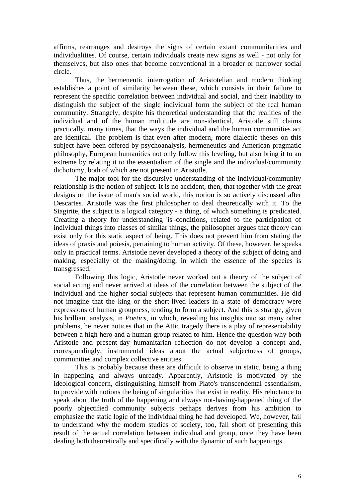affirms, rearranges and destroys the signs of certain extant communitarities and individualities. Of course, certain individuals create new signs as well - not only for themselves, but also ones that become conventional in a broader or narrower social circle.

 Thus, the hermeneutic interrogation of Aristotelian and modern thinking establishes a point of similarity between these, which consists in their failure to represent the specific correlation between individual and social, and their inability to distinguish the subject of the single individual form the subject of the real human community. Strangely, despite his theoretical understanding that the realities of the individual and of the human multitude are non-identical, Aristotle still claims practically, many times, that the ways the individual and the human communities act are identical. The problem is that even after modern, more dialectic theses on this subject have been offered by psychoanalysis, hermeneutics and American pragmatic philosophy, European humanities not only follow this leveling, but also bring it to an extreme by relating it to the essentialism of the single and the individual/community dichotomy, both of which are not present in Aristotle.

 The major tool for the discursive understanding of the individual/community relationship is the notion of subject. It is no accident, then, that together with the great designs on the issue of man's social world, this notion is so actively discussed after Descartes. Aristotle was the first philosopher to deal theoretically with it. To the Stagirite, the subject is a logical category - a thing, of which something is predicated. Creating a theory for understanding 'is'-conditions, related to the participation of individual things into classes of similar things, the philosopher argues that theory can exist only for this static aspect of being. This does not prevent him from stating the ideas of praxis and poiesis, pertaining to human activity. Of these, however, he speaks only in practical terms. Aristotle never developed a theory of the subject of doing and making, especially of the making/doing, in which the essence of the species is transgressed.

Following this logic, Aristotle never worked out a theory of the subject of social acting and never arrived at ideas of the correlation between the subject of the individual and the higher social subjects that represent human communities. He did not imagine that the king or the short-lived leaders in a state of democracy were expressions of human groupness, tending to form a subject. And this is strange, given his brilliant analysis, in *Poetics*, in which, revealing his insights into so many other problems, he never notices that in the Attic tragedy there is a play of representability between a high hero and a human group related to him. Hence the question why both Aristotle and present-day humanitarian reflection do not develop a concept and, correspondingly, instrumental ideas about the actual subjectness of groups, communities and complex collective entities.

 This is probably because these are difficult to observe in static, being a thing in happening and always unready. Apparently, Aristotle is motivated by the ideological concern, distinguishing himself from Plato's transcendental essentialism, to provide with notions the being of singularities that exist in reality. His reluctance to speak about the truth of the happening and always not-having-happened thing of the poorly objectified community subjects perhaps derives from his ambition to emphasize the static logic of the individual thing he had developed. We, however, fail to understand why the modern studies of society, too, fall short of presenting this result of the actual correlation between individual and group, once they have been dealing both theoretically and specifically with the dynamic of such happenings.